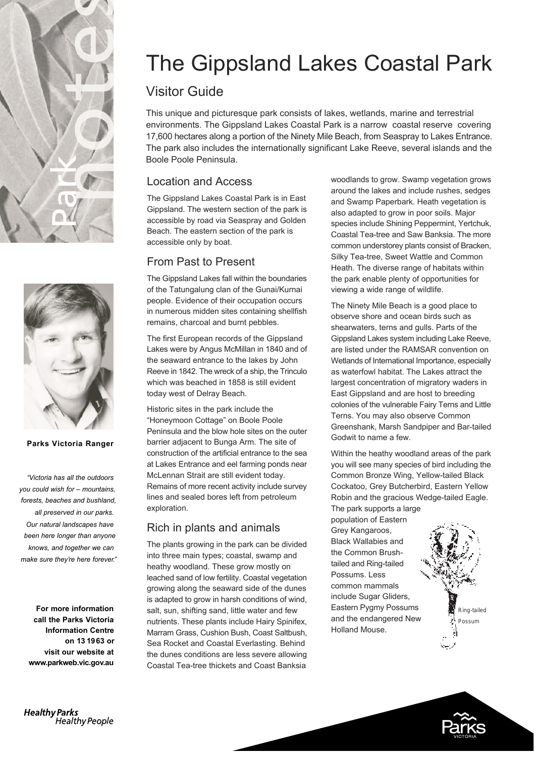



#### Parks Victoria Ranger

"Victoria has all the outdoors *you could wish tor* – mountains, *forests, beaches and bushland,* all preserved in our parks. Our natural landscapes have been here longer than anyone *knows, and together we can* make sure they're here forever."

For more information call the Parks Victoria **Information Centre** on 13 1963 or www.parkweb.vic.gov.au

# The Gippsland Lakes Coastal Park

## Visitor Guide

This unique and picturesque park consists of lakes, wetlands, marine and terrestrial environments. The Gippsland Lakes Coastal Park is a narrow coastal reserve covering 17,600 hectares along a portion of the Ninety Mile Beach, from Seaspray to Lakes Entrance. The park also includes the internationally significant Lake Reeve, several islands and the Boole Poole Peninsula.

## Location and Access

The Gippsland Lakes Coastal Park is in East Gippsland. The western section of the park is accessible by road via Seaspray and Golden Beach. The eastern section of the park is accessible only by boat.

## From Past to Present

The Gippsland Lakes fall within the boundaries of the Tatungalung clan of the Gunai/Kurnai people. Evidence of their occupation occurs in numerous midden sites containing shellfish remains, charcoal and burnt pebbles.

The first European records of the Gippsland Lakes were by Angus McMillan in 1840 and of the seaward entrance to the lakes by John Reeve in 1842. The wreck of a ship, the Trinculo which was beached in 1858 is still evident today west of Delray Beach.

Historic sites in the park include the "Honeymoon Cottage" on Boole Poole Peninsula and the blow hole sites on the outer barrier adjacent to Bunga Arm. The site of construction of the artificial entrance to the sea at Lakes Entrance and eel farming ponds near McLennan Strait are still evident today. Remains of more recent activity include survey lines and sealed bores left from petroleum exploration.

## Rich in plants and animals

The plants growing in the park can be divided into three main types; coastal, swamp and heathy woodland. These grow mostly on leached sand of low fertility. Coastal vegetation growing along the seaward side of the dunes is adapted to grow in harsh conditions of wind, salt, sun, shifting sand, little water and few nutrients. These plants include Hairy Spinifex, Marram Grass, Cushion Bush, Coast Saltbush, Sea Rocket and Coastal Everlasting. Behind the dunes conditions are less severe allowing Coastal Tea-tree thickets and Coast Banksia

woodlands to grow. Swamp vegetation grows around the lakes and include rushes, sedges and Swamp Paperbark. Heath vegetation is also adapted to grow in poor soils. Major species include Shining Peppermint, Yertchuk, Coastal Tea-tree and Saw Banksia. The more common understorey plants consist of Bracken, Silky Tea-tree, Sweet Wattle and Common Heath. The diverse range of habitats within the park enable plenty of opportunities for viewing a wide range of wildlife.

The Ninety Mile Beach is a good place to observe shore and ocean birds such as shearwaters, terns and gulls. Parts of the Gippsland Lakes system including Lake Reeve, are listed under the RAMSAR convention on Wetlands of International Importance, especially as waterfowl habitat. The Lakes attract the largest concentration of migratory waders in East Gippsland and are host to breeding colonies of the vulnerable Fairy Terns and Little Terns. You may also observe Common Greenshank, Marsh Sandpiper and Bar-tailed Godwit to name a few.

Within the heathy woodland areas of the park you will see many species of bird including the Common Bronze Wing, Yellow-tailed Black Cockatoo, Grey Butcherbird, Eastern Yellow Robin and the gracious Wedge-tailed Eagle.

The park supports a large population of Eastern Grey Kangaroos, Black Wallabies and the Common Brushtailed and Ring-tailed Possums. Less common mammals include Sugar Gliders, Eastern Pygmy Possums and the endangered New Holland Mouse.





**Healthy Parks** Healthy People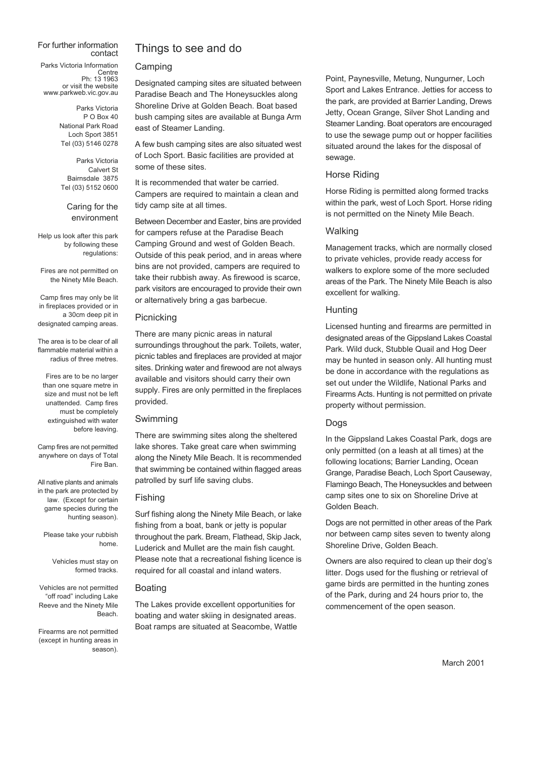#### For further information contact

Parks Victoria Information Centre Ph: 13 1963 or visit the website www.parkweb.vic.gov.au

> Parks Victoria  $P$  O Box 40 National Park Road Loch Sport 3851 Tel (03) 5146 0278

Parks Victoria Calvert St Bairnsdale 3875 Tel (03) 5152 0600

Caring for the environment

Help us look after this park by following these regulations:

Fires are not permitted on the Ninety Mile Beach.

Camp fires may only be lit in fireplaces provided or in a 30cm deep pit in designated camping areas.

The area is to be clear of all flammable material within a radius of three metres.

Fires are to be no larger than one square metre in size and must not be left unattended. Camp fires must be completely extinguished with water before leaving.

Camp fires are not permitted anywhere on days of Total Fire Ban.

All native plants and animals in the park are protected by law. (Except for certain game species during the hunting season).

Please take your rubbish home.

> Vehicles must stay on formed tracks.

Vehicles are not permitted "off road" including Lake Reeve and the Ninety Mile Beach.

Firearms are not permitted (except in hunting areas in season).

## Things to see and do

#### Camping

Designated camping sites are situated between Paradise Beach and The Honeysuckles along Shoreline Drive at Golden Beach. Boat based bush camping sites are available at Bunga Arm east of Steamer Landing.

A few bush camping sites are also situated west of Loch Sport. Basic facilities are provided at some of these sites.

It is recommended that water be carried. Campers are required to maintain a clean and tidy camp site at all times.

Between December and Easter, bins are provided for campers refuse at the Paradise Beach Camping Ground and west of Golden Beach. Outside of this peak period, and in areas where bins are not provided, campers are required to take their rubbish away. As firewood is scarce, park visitors are encouraged to provide their own or alternatively bring a gas barbecue.

#### Picnicking

There are many picnic areas in natural surroundings throughout the park. Toilets, water, picnic tables and fireplaces are provided at major sites. Drinking water and firewood are not always available and visitors should carry their own supply. Fires are only permitted in the fireplaces provided.

#### Swimming

There are swimming sites along the sheltered lake shores. Take great care when swimming along the Ninety Mile Beach. It is recommended that swimming be contained within flagged areas patrolled by surf life saving clubs.

#### Fishing

Surf fishing along the Ninety Mile Beach, or lake fishing from a boat, bank or jetty is popular throughout the park. Bream, Flathead, Skip Jack, Luderick and Mullet are the main fish caught. Please note that a recreational fishing licence is required for all coastal and inland waters.

#### Boating

The Lakes provide excellent opportunities for boating and water skiing in designated areas. Boat ramps are situated at Seacombe, Wattle

Point, Paynesville, Metung, Nungurner, Loch Sport and Lakes Entrance. Jetties for access to the park, are provided at Barrier Landing, Drews Jetty, Ocean Grange, Silver Shot Landing and Steamer Landing. Boat operators are encouraged to use the sewage pump out or hopper facilities situated around the lakes for the disposal of sewage.

#### Horse Riding

Horse Riding is permitted along formed tracks within the park, west of Loch Sport. Horse riding is not permitted on the Ninety Mile Beach.

#### Walking

Management tracks, which are normally closed to private vehicles, provide ready access for walkers to explore some of the more secluded areas of the Park. The Ninety Mile Beach is also excellent for walking.

#### **Hunting**

Licensed hunting and firearms are permitted in designated areas of the Gippsland Lakes Coastal Park. Wild duck, Stubble Quail and Hog Deer may be hunted in season only. All hunting must be done in accordance with the regulations as set out under the Wildlife, National Parks and Firearms Acts. Hunting is not permitted on private property without permission.

#### Dogs

In the Gippsland Lakes Coastal Park, dogs are only permitted (on a leash at all times) at the following locations; Barrier Landing, Ocean Grange, Paradise Beach, Loch Sport Causeway, Flamingo Beach, The Honeysuckles and between camp sites one to six on Shoreline Drive at Golden Beach.

Dogs are not permitted in other areas of the Park nor between camp sites seven to twenty along Shoreline Drive, Golden Beach.

Owners are also required to clean up their dog's litter. Dogs used for the flushing or retrieval of game birds are permitted in the hunting zones of the Park, during and 24 hours prior to, the commencement of the open season.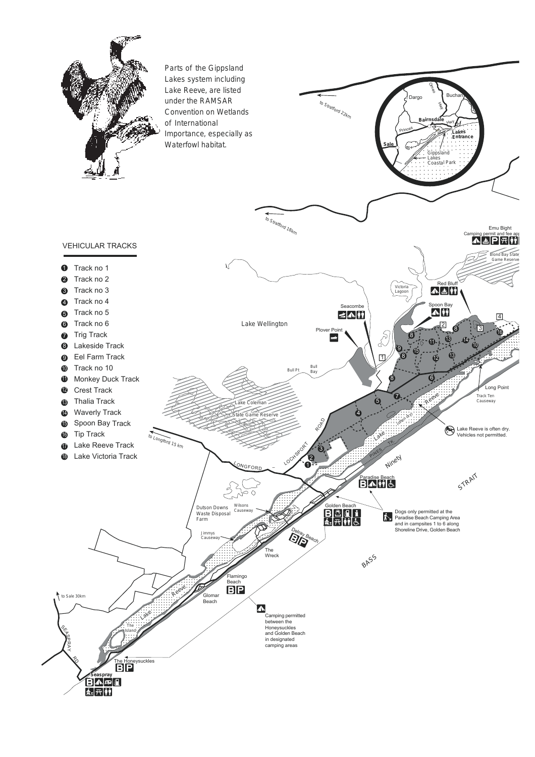